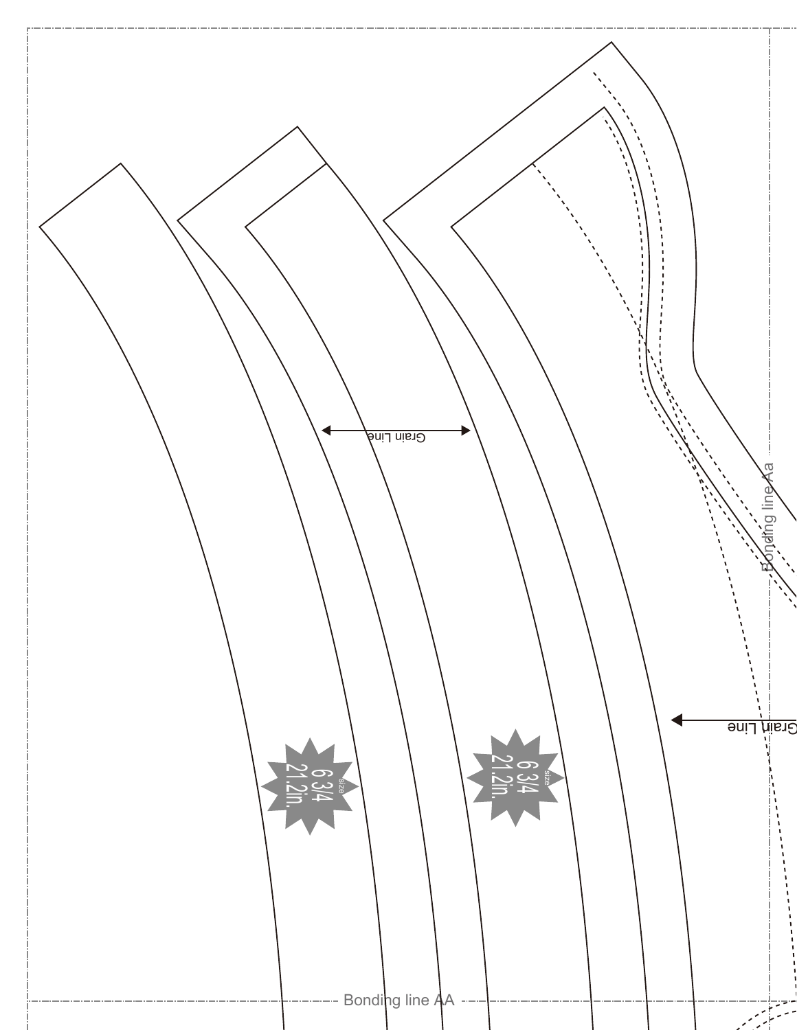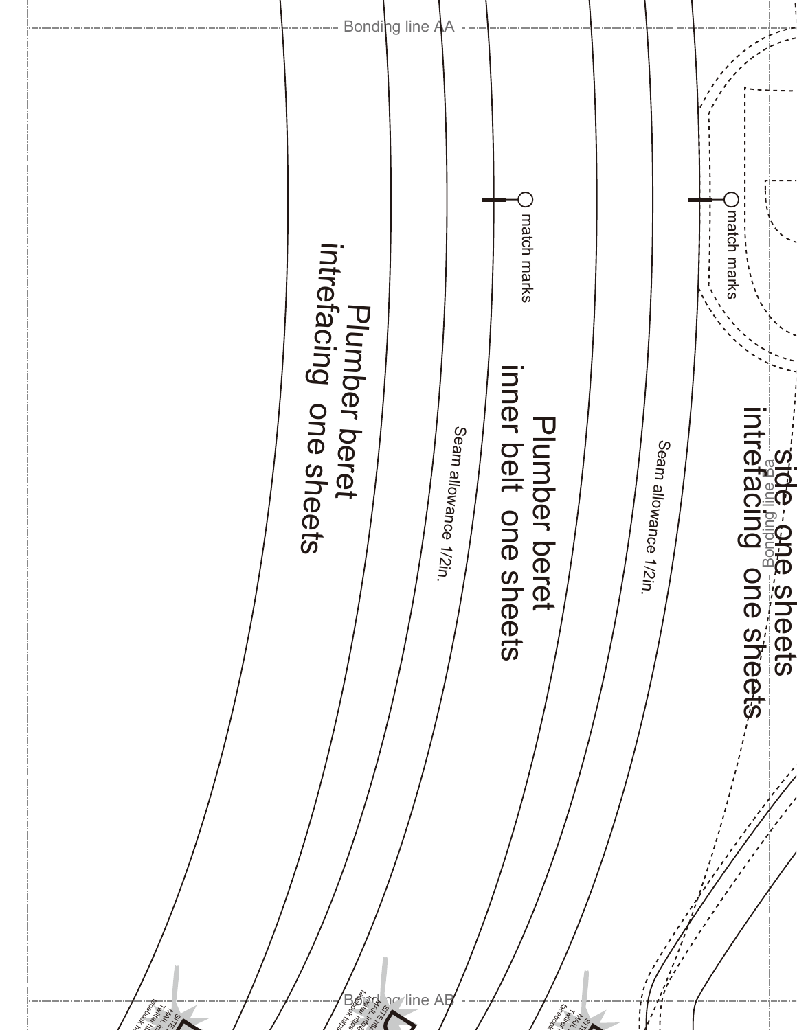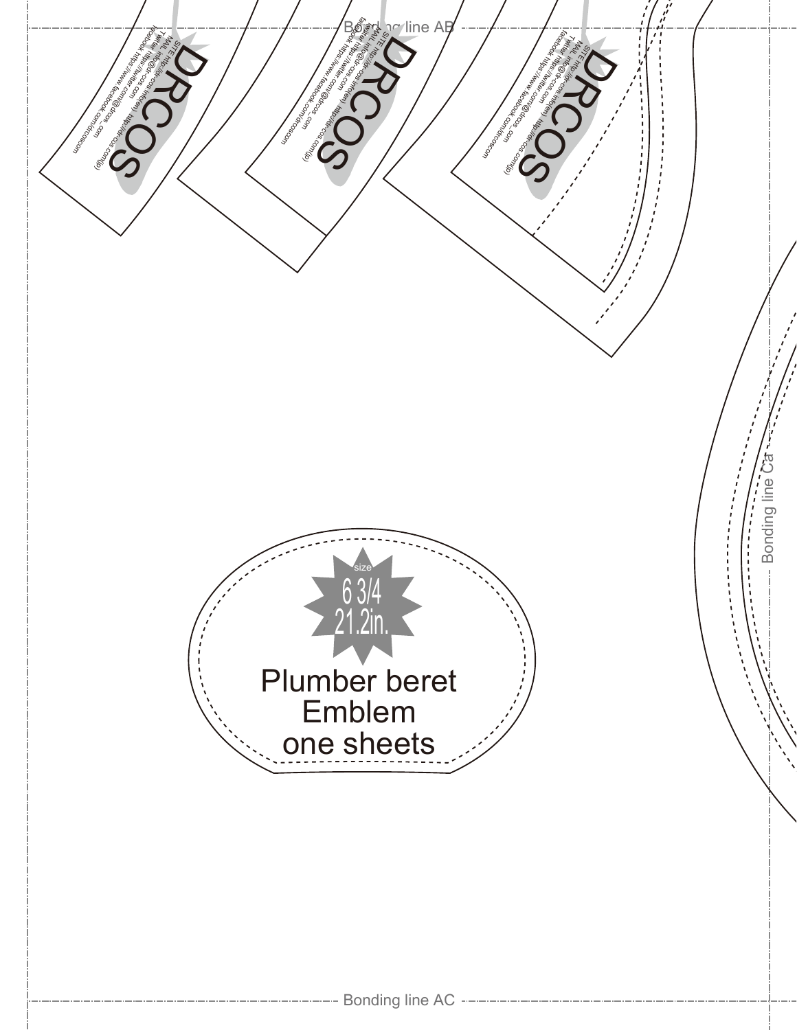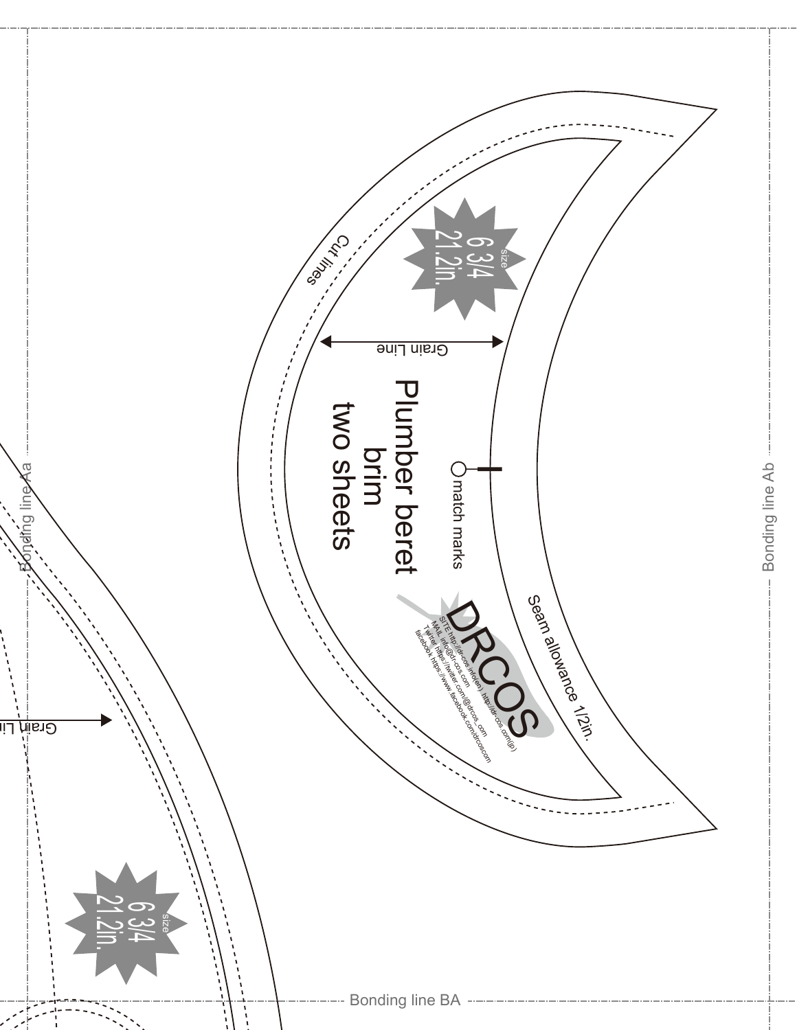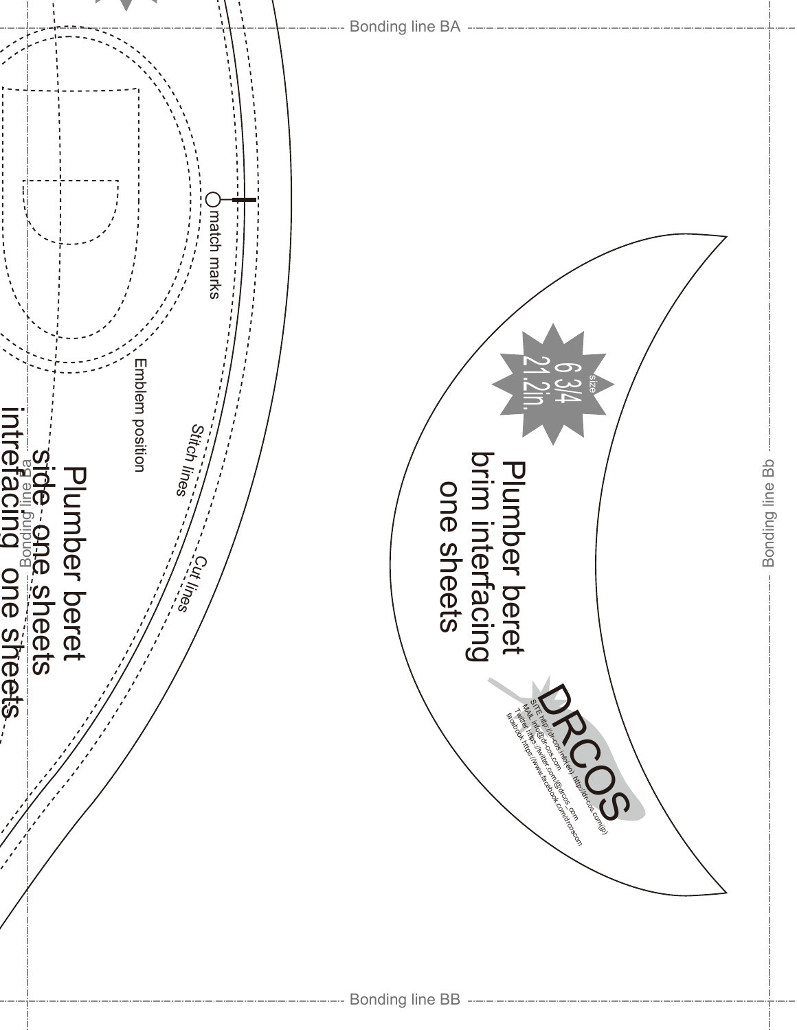